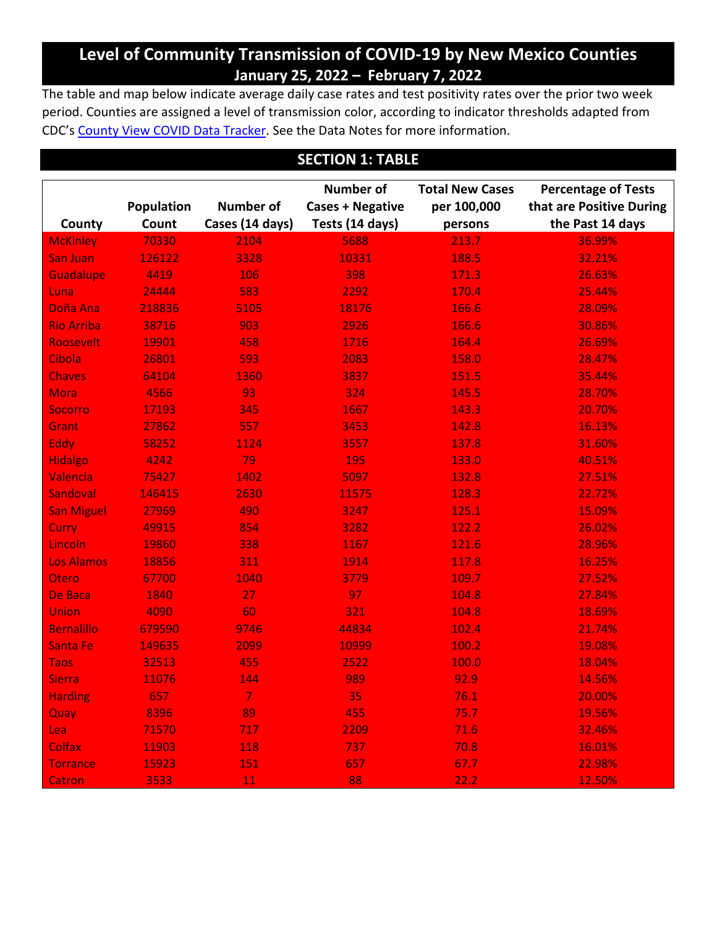# **Level of Community Transmission of COVID-19 by New Mexico Counties January 25, 2022 – February 7, 2022**

The table and map below indicate average daily case rates and test positivity rates over the prior two week period. Counties are assigned a level of transmission color, according to indicator thresholds adapted from CDC's [County View COVID Data Tracker.](https://covid.cdc.gov/covid-data-tracker/#county-view) See the Data Notes for more information.

### **SECTION 1: TABLE**

| County            | <b>Population</b><br>Count | <b>Number of</b><br>Cases (14 days) | <b>Number of</b><br><b>Cases + Negative</b><br>Tests (14 days) | <b>Total New Cases</b><br>per 100,000<br>persons | <b>Percentage of Tests</b><br>that are Positive During<br>the Past 14 days |
|-------------------|----------------------------|-------------------------------------|----------------------------------------------------------------|--------------------------------------------------|----------------------------------------------------------------------------|
| <b>McKinley</b>   | 70330                      | 2104                                | 5688                                                           | 213.7                                            | 36.99%                                                                     |
| <b>San Juan</b>   | 126122                     | 3328                                | 10331                                                          | 188.5                                            | 32.21%                                                                     |
| <b>Guadalupe</b>  | 4419                       | 106                                 | 398                                                            | 171.3                                            | 26.63%                                                                     |
| Luna              | 24444                      | 583                                 | 2292                                                           | 170.4                                            | 25.44%                                                                     |
| Doña Ana          | 218836                     | 5105                                | 18176                                                          | 166.6                                            | 28.09%                                                                     |
| <b>Rio Arriba</b> | 38716                      | 903                                 | 2926                                                           | 166.6                                            | 30.86%                                                                     |
| Roosevelt         | 19901                      | 458                                 | 1716                                                           | 164.4                                            | 26.69%                                                                     |
| Cibola            | 26801                      | 593                                 | 2083                                                           | 158.0                                            | 28.47%                                                                     |
| <b>Chaves</b>     | 64104                      | 1360                                | 3837                                                           | 151.5                                            | 35.44%                                                                     |
| <b>Mora</b>       | 4566                       | 93                                  | 324                                                            | 145.5                                            | 28.70%                                                                     |
| <b>Socorro</b>    | 17193                      | 345                                 | 1667                                                           | 143.3                                            | 20.70%                                                                     |
| Grant             | 27862                      | 557                                 | 3453                                                           | 142.8                                            | 16.13%                                                                     |
| Eddy              | 58252                      | 1124                                | 3557                                                           | 137.8                                            | 31.60%                                                                     |
| <b>Hidalgo</b>    | 4242                       | 79                                  | 195                                                            | 133.0                                            | 40.51%                                                                     |
| Valencia          | 75427                      | 1402                                | 5097                                                           | 132.8                                            | 27.51%                                                                     |
| Sandoval          | 146415                     | 2630                                | 11575                                                          | 128.3                                            | 22.72%                                                                     |
| <b>San Miguel</b> | 27969                      | 490                                 | 3247                                                           | 125.1                                            | 15.09%                                                                     |
| <b>Curry</b>      | 49915                      | 854                                 | 3282                                                           | 122.2                                            | 26.02%                                                                     |
| Lincoln           | 19860                      | 338                                 | 1167                                                           | 121.6                                            | 28.96%                                                                     |
| <b>Los Alamos</b> | 18856                      | 311                                 | 1914                                                           | 117.8                                            | 16.25%                                                                     |
| Otero             | 67700                      | 1040                                | 3779                                                           | 109.7                                            | 27.52%                                                                     |
| De Baca           | 1840                       | 27                                  | 97                                                             | 104.8                                            | 27.84%                                                                     |
| <b>Union</b>      | 4090                       | 60                                  | 321                                                            | 104.8                                            | 18.69%                                                                     |
| <b>Bernalillo</b> | 679590                     | 9746                                | 44834                                                          | 102.4                                            | 21.74%                                                                     |
| <b>Santa Fe</b>   | 149635                     | 2099                                | 10999                                                          | 100.2                                            | 19.08%                                                                     |
| <b>Taos</b>       | 32513                      | 455                                 | 2522                                                           | 100.0                                            | 18.04%                                                                     |
| <b>Sierra</b>     | 11076                      | 144                                 | 989                                                            | 92.9                                             | 14.56%                                                                     |
| <b>Harding</b>    | 657                        | $\overline{7}$                      | 35                                                             | 76.1                                             | 20.00%                                                                     |
| Quay              | 8396                       | 89                                  | 455                                                            | 75.7                                             | 19.56%                                                                     |
| Lea               | 71570                      | 717                                 | 2209                                                           | 71.6                                             | 32.46%                                                                     |
| <b>Colfax</b>     | 11903                      | 118                                 | 737                                                            | 70.8                                             | 16.01%                                                                     |
| <b>Torrance</b>   | 15923                      | 151                                 | 657                                                            | 67.7                                             | 22.98%                                                                     |
| <b>Catron</b>     | 3533                       | 11                                  | 88                                                             | 22.2                                             | 12.50%                                                                     |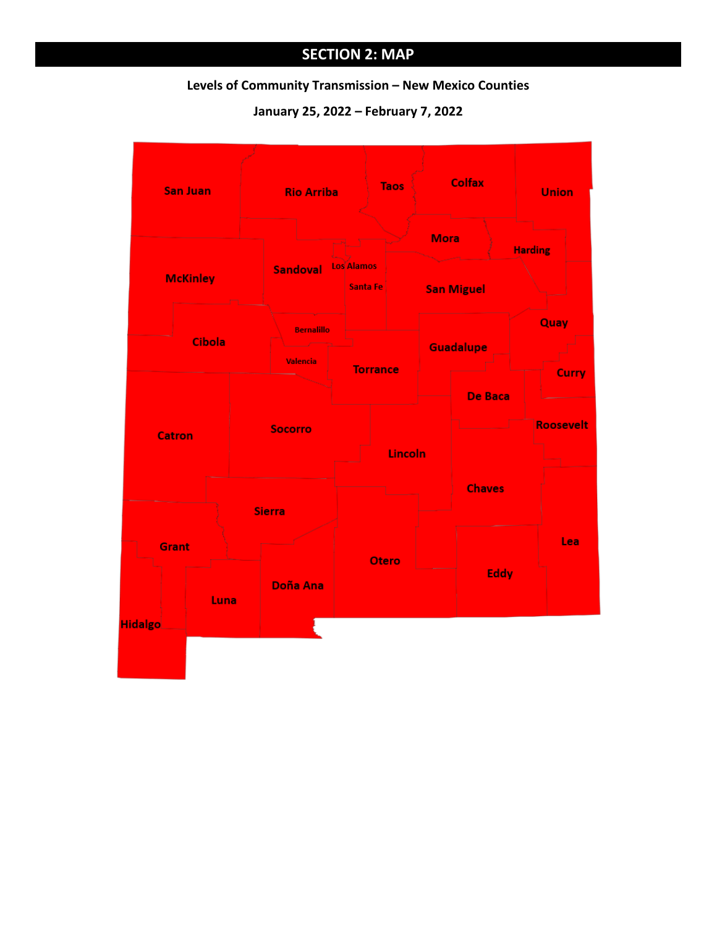# **SECTION 2: MAP**

#### **Levels of Community Transmission – New Mexico Counties**

**January 25, 2022 – February 7, 2022**